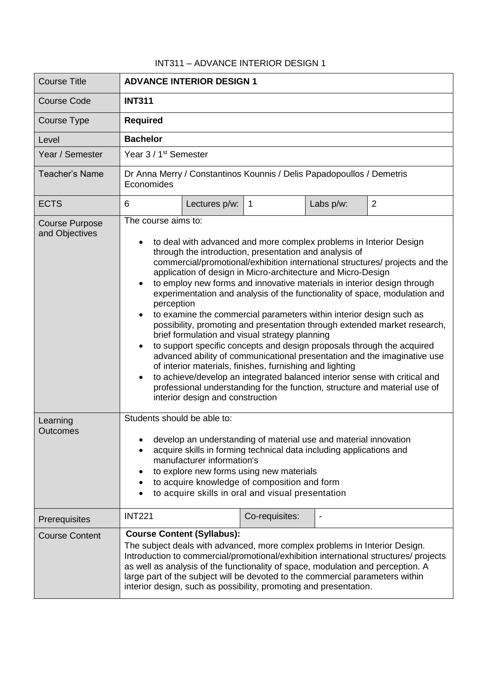## INT311 – ADVANCE INTERIOR DESIGN 1

| <b>Course Title</b>                     | <b>ADVANCE INTERIOR DESIGN 1</b>                                                                                                                                                                                                                                                                                                                                                                                                                                                                                                                                                                                                                                                                                                                                                                                                                                                                                                                                                                                                                                                                   |               |                |           |                |
|-----------------------------------------|----------------------------------------------------------------------------------------------------------------------------------------------------------------------------------------------------------------------------------------------------------------------------------------------------------------------------------------------------------------------------------------------------------------------------------------------------------------------------------------------------------------------------------------------------------------------------------------------------------------------------------------------------------------------------------------------------------------------------------------------------------------------------------------------------------------------------------------------------------------------------------------------------------------------------------------------------------------------------------------------------------------------------------------------------------------------------------------------------|---------------|----------------|-----------|----------------|
| <b>Course Code</b>                      | <b>INT311</b>                                                                                                                                                                                                                                                                                                                                                                                                                                                                                                                                                                                                                                                                                                                                                                                                                                                                                                                                                                                                                                                                                      |               |                |           |                |
| Course Type                             | <b>Required</b>                                                                                                                                                                                                                                                                                                                                                                                                                                                                                                                                                                                                                                                                                                                                                                                                                                                                                                                                                                                                                                                                                    |               |                |           |                |
| Level                                   | <b>Bachelor</b>                                                                                                                                                                                                                                                                                                                                                                                                                                                                                                                                                                                                                                                                                                                                                                                                                                                                                                                                                                                                                                                                                    |               |                |           |                |
| Year / Semester                         | Year 3 / 1 <sup>st</sup> Semester                                                                                                                                                                                                                                                                                                                                                                                                                                                                                                                                                                                                                                                                                                                                                                                                                                                                                                                                                                                                                                                                  |               |                |           |                |
| Teacher's Name                          | Dr Anna Merry / Constantinos Kounnis / Delis Papadopoullos / Demetris<br>Economides                                                                                                                                                                                                                                                                                                                                                                                                                                                                                                                                                                                                                                                                                                                                                                                                                                                                                                                                                                                                                |               |                |           |                |
| <b>ECTS</b>                             | 6                                                                                                                                                                                                                                                                                                                                                                                                                                                                                                                                                                                                                                                                                                                                                                                                                                                                                                                                                                                                                                                                                                  | Lectures p/w: | $\mathbf{1}$   | Labs p/w: | $\overline{2}$ |
| <b>Course Purpose</b><br>and Objectives | The course aims to:<br>to deal with advanced and more complex problems in Interior Design<br>through the introduction, presentation and analysis of<br>commercial/promotional/exhibition international structures/ projects and the<br>application of design in Micro-architecture and Micro-Design<br>to employ new forms and innovative materials in interior design through<br>experimentation and analysis of the functionality of space, modulation and<br>perception<br>to examine the commercial parameters within interior design such as<br>possibility, promoting and presentation through extended market research,<br>brief formulation and visual strategy planning<br>to support specific concepts and design proposals through the acquired<br>advanced ability of communicational presentation and the imaginative use<br>of interior materials, finishes, furnishing and lighting<br>to achieve/develop an integrated balanced interior sense with critical and<br>professional understanding for the function, structure and material use of<br>interior design and construction |               |                |           |                |
| Learning<br><b>Outcomes</b>             | Students should be able to:<br>develop an understanding of material use and material innovation<br>acquire skills in forming technical data including applications and<br>manufacturer information's<br>to explore new forms using new materials<br>to acquire knowledge of composition and form<br>to acquire skills in oral and visual presentation<br>$\bullet$                                                                                                                                                                                                                                                                                                                                                                                                                                                                                                                                                                                                                                                                                                                                 |               |                |           |                |
| Prerequisites                           | <b>INT221</b>                                                                                                                                                                                                                                                                                                                                                                                                                                                                                                                                                                                                                                                                                                                                                                                                                                                                                                                                                                                                                                                                                      |               | Co-requisites: |           |                |
| <b>Course Content</b>                   | <b>Course Content (Syllabus):</b><br>The subject deals with advanced, more complex problems in Interior Design.<br>Introduction to commercial/promotional/exhibition international structures/ projects<br>as well as analysis of the functionality of space, modulation and perception. A<br>large part of the subject will be devoted to the commercial parameters within<br>interior design, such as possibility, promoting and presentation.                                                                                                                                                                                                                                                                                                                                                                                                                                                                                                                                                                                                                                                   |               |                |           |                |